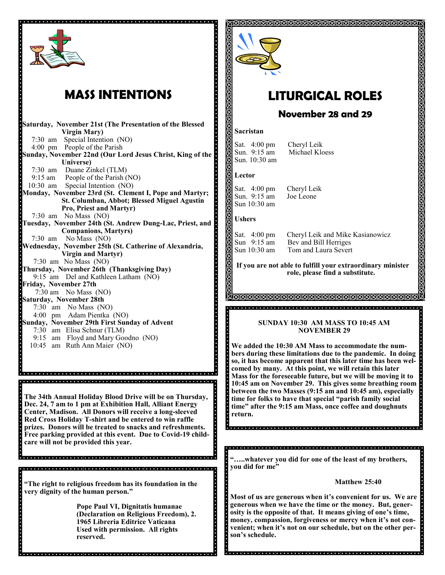

## **MASS INTENTIONS**

**Saturday, November 21st (The Presentation of the Blessed Virgin Mary)** 7:30 am Special Intention (NO) 4:00 pm People of the Parish **Sunday, November 22nd (Our Lord Jesus Christ, King of the Universe)** 7:30 am Duane Zinkel (TLM) 9:15 am People of the Parish (NO) 10:30 am Special Intention (NO) **Monday, November 23rd (St. Clement I, Pope and Martyr; St. Columban, Abbot; Blessed Miguel Agustin Pro, Priest and Martyr)** 7:30 am No Mass (NO) **Tuesday, November 24th (St. Andrew Dung-Lac, Priest, and Companions, Martyrs)** 7:30 am No Mass (NO) **Wednesday, November 25th (St. Catherine of Alexandria, Virgin and Martyr)** 7:30 am No Mass (NO) **Thursday, November 26th (Thanksgiving Day)** 9:15 am Del and Kathleen Latham (NO) **Friday, November 27th**  7:30 am No Mass (NO) **Saturday, November 28th** 7:30 am No Mass (NO) 4:00 pm Adam Pientka (NO) **Sunday, November 29th First Sunday of Advent** 7:30 am Elisa Schnur (TLM) 9:15 am Floyd and Mary Goodno (NO) 10:45 am Ruth Ann Maier (NO)

**The 34th Annual Holiday Blood Drive will be on Thursday, Dec. 24, 7 am to 1 pm at Exhibition Hall, Alliant Energy Center, Madison. All Donors will receive a long-sleeved Red Cross Holiday T-shirt and be entered to win raffle prizes. Donors will be treated to snacks and refreshments. Free parking provided at this event. Due to Covid-19 childcare will not be provided this year.** 

**"The right to religious freedom has its foundation in the very dignity of the human person."**

**Pope Paul VI, Dignitatis humanae (Declaration on Religious Freedom), 2. 1965 Libreria Editrice Vaticana Used with permission. All rights reserved.** 



# **LITURGICAL ROLES**

### **November 28 and 29**

### **Sacristan**

Sat. 4:00 pm Cheryl Leik<br>Sun. 9:15 am Michael Klo Sun. 10:30 am

Michael Kloess

### **Lector**

Ş

ă

Sat. 4:00 pm Cheryl Leik<br>Sun. 9:15 am Joe Leone Sun.  $9:15$  am Sun 10:30 am

### **Ushers**

Sat. 4:00 pm Cheryl Leik and Mike Kasianowicz Sun 9:15 am Bev and Bill Herriges<br>Sun 10:30 am Tom and Laura Severt Tom and Laura Severt

**If you are not able to fulfill your extraordinary minister role, please find a substitute.** 

#### **TAMAMAMAMAMAMAMAMAMAMAMA**

### **SUNDAY 10:30 AM MASS TO 10:45 AM NOVEMBER 29**

**We added the 10:30 AM Mass to accommodate the numbers during these limitations due to the pandemic. In doing so, it has become apparent that this later time has been welcomed by many. At this point, we will retain this later Mass for the foreseeable future, but we will be moving it to 10:45 am on November 29. This gives some breathing room between the two Masses (9:15 am and 10:45 am), especially time for folks to have that special "parish family social time" after the 9:15 am Mass, once coffee and doughnuts return.** 

**"…..whatever you did for one of the least of my brothers, you did for me"**

### **Matthew 25:40**

**Most of us are generous when it's convenient for us. We are generous when we have the time or the money. But, generosity is the opposite of that. It means giving of one's time, money, compassion, forgiveness or mercy when it's not convenient; when it's not on our schedule, but on the other person's schedule.**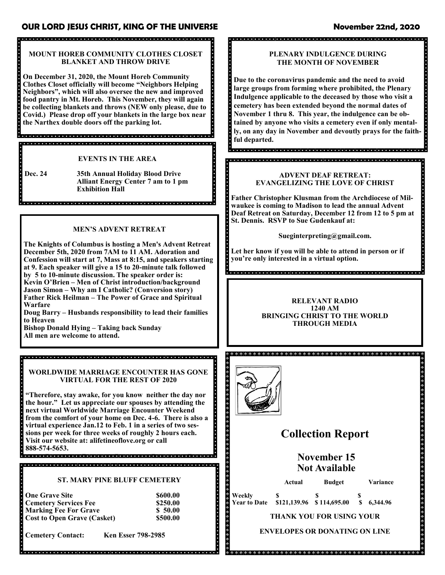### **OUR LORD JESUS CHRIST, KING OF THE UNIVERSE November 22nd, 2020**

### **MOUNT HOREB COMMUNITY CLOTHES CLOSET BLANKET AND THROW DRIVE**

**On December 31, 2020, the Mount Horeb Community Clothes Closet officially will become "Neighbors Helping Neighbors", which will also oversee the new and improved food pantry in Mt. Horeb. This November, they will again be collecting blankets and throws (NEW only please, due to Covid.) Please drop off your blankets in the large box near the Narthex double doors off the parking lot.** 

### **EVENTS IN THE AREA**

**Dec. 24 35th Annual Holiday Blood Drive Alliant Energy Center 7 am to 1 pm Exhibition Hall**

### **MEN'S ADVENT RETREAT**

**The Knights of Columbus is hosting a Men's Advent Retreat December 5th, 2020 from 7AM to 11 AM. Adoration and Confession will start at 7, Mass at 8:15, and speakers starting at 9. Each speaker will give a 15 to 20-minute talk followed by 5 to 10-minute discussion. The speaker order is: Kevin O'Brien – Men of Christ introduction/background Jason Simon – Why am I Catholic? (Conversion story) Father Rick Heilman – The Power of Grace and Spiritual Warfare**

**Doug Barry – Husbands responsibility to lead their families to Heaven**

**Bishop Donald Hying – Taking back Sunday All men are welcome to attend.**

**WORLDWIDE MARRIAGE ENCOUNTER HAS GONE VIRTUAL FOR THE REST OF 2020**

**"Therefore, stay awake, for you know neither the day nor the hour." Let us appreciate our spouses by attending the next virtual Worldwide Marriage Encounter Weekend from the comfort of your home on Dec. 4-6. There is also a virtual experience Jan.12 to Feb. 1 in a series of two sessions per week for three weeks of roughly 2 hours each. Visit our website at: alifetineoflove.org or call 888-574-5653.**

### **ST. MARY PINE BLUFF CEMETERY**

| <b>One Grave Site</b>              | \$600.00 |
|------------------------------------|----------|
| <b>Cemetery Services Fee</b>       | \$250.00 |
| <b>Marking Fee For Grave</b>       | \$50.00  |
| <b>Cost to Open Grave (Casket)</b> | \$500.00 |

**Cemetery Contact: Ken Esser 798-2985**

### **PLENARY INDULGENCE DURING THE MONTH OF NOVEMBER**

**Due to the coronavirus pandemic and the need to avoid large groups from forming where prohibited, the Plenary Indulgence applicable to the deceased by those who visit a cemetery has been extended beyond the normal dates of November 1 thru 8. This year, the indulgence can be obtained by anyone who visits a cemetery even if only mentally, on any day in November and devoutly prays for the faithful departed.** 

### **ADVENT DEAF RETREAT: EVANGELIZING THE LOVE OF CHRIST**

**Father Christopher Klusman from the Archdiocese of Milwaukee is coming to Madison to lead the annual Advent Deaf Retreat on Saturday, December 12 from 12 to 5 pm at St. Dennis. RSVP to Sue Gudenkauf at:**

**Sueginterpreting@gmail.com.** 

**Let her know if you will be able to attend in person or if you're only interested in a virtual option.**

**RELEVANT RADIO 1240 AM BRINGING CHRIST TO THE WORLD THROUGH MEDIA**



 $\phi$  ,  $\phi$  ,  $\phi$  ,  $\phi$  ,  $\phi$  ,  $\phi$ 

## **Collection Report**

**November 15 Not Available** 

**Actual Budget Variance**

**Weekly \$ \$ \$ \$**<br>**Year to Date \$121,139.96 \$114,695.00 \$** 6,344.96  $$121,139.96 \quad $114,695.00$ 

**THANK YOU FOR USING YOUR** 

**ENVELOPES OR DONATING ON LINE**